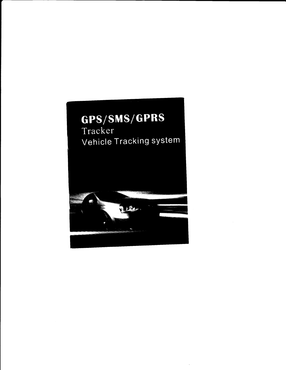# GPS/SMS/GPRS

Tracker Vehicle Tracking system

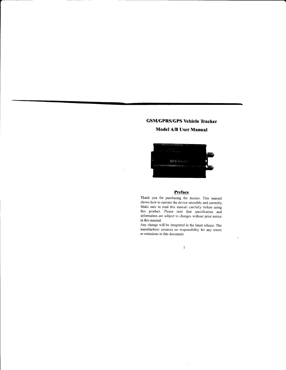### GSM/GPRS/GPS Vehicle Tracker

### ModelA/B User Manual



### Preface

Thank you for purchasing the tracker. This manual shows how to operate the device smoothly and correctly. Make sure to read this manual carefully before using this product. Please note that specification and information are subject to changes without prior notice in this manual.

Any change will be integrated in the latest release. The manufacturer assumes no responsibility for any erors or omissions in this document.

 $\bar{1}$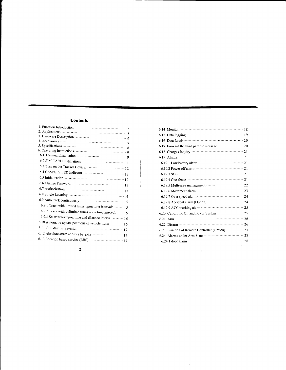### **Contents**

| 6.9.1 Track with limited times upon time interval: - - - - - - - 15 |
|---------------------------------------------------------------------|
| 6.9.2 Track with unlimited times upon time interval:  15            |
| $-6.9.3$ Smart track upon time and distance interval: $-$           |
|                                                                     |
|                                                                     |
|                                                                     |
|                                                                     |
|                                                                     |

| 6.17 Forward the third parties' message <b>contains the 20</b>                                                                                                                                                                       |  |
|--------------------------------------------------------------------------------------------------------------------------------------------------------------------------------------------------------------------------------------|--|
|                                                                                                                                                                                                                                      |  |
|                                                                                                                                                                                                                                      |  |
|                                                                                                                                                                                                                                      |  |
|                                                                                                                                                                                                                                      |  |
|                                                                                                                                                                                                                                      |  |
|                                                                                                                                                                                                                                      |  |
| 6.19.5 Multi-area management ································· 22                                                                                                                                                                    |  |
|                                                                                                                                                                                                                                      |  |
|                                                                                                                                                                                                                                      |  |
| 6.19.8 Accident alarm (Option): •••••••••••••••••••••••••••• 24                                                                                                                                                                      |  |
|                                                                                                                                                                                                                                      |  |
| 6.20 Cut off the Oil and Power System ·················· 25                                                                                                                                                                          |  |
| 6.21 Arm $\cdots$ 26                                                                                                                                                                                                                 |  |
|                                                                                                                                                                                                                                      |  |
| 6.23 Function of Remote Controller (Option) ·············· 27                                                                                                                                                                        |  |
| 6.24 Alarms under Arm State <b>Constantine Constantine Constantine Constantine Constantine Constantine Constantine Constantine Constantine Constantine Constantine Constantine Constantine Constantine Constantine Constantine C</b> |  |
|                                                                                                                                                                                                                                      |  |
|                                                                                                                                                                                                                                      |  |

 $\overline{c}$ 

 $\overline{\mathbf{3}}$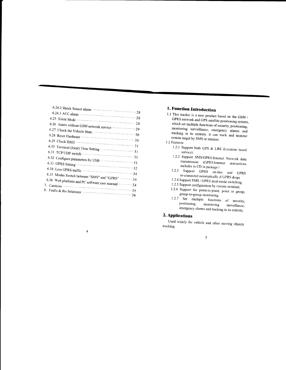| 6.24.3 ACC alarm — — — — — — — — — — — — — 28                  |
|----------------------------------------------------------------|
|                                                                |
|                                                                |
| 6.26 Alarm without GSM network service ·····················29 |
|                                                                |
|                                                                |
|                                                                |
|                                                                |
|                                                                |
|                                                                |
|                                                                |
|                                                                |
| 6.35 Modes Switch between "SMS" and "GPRS" 34                  |
| 6.36 Web platform and PC software user manual ············ 34  |
|                                                                |
|                                                                |
|                                                                |

 $\overline{4}$ 

### 1. Function Introduction

- 1.1 This tracker is a new product based on the GSM  $\prime$ GPRS network and GPS satellite positioning system, which set multiple functions of security, positioning, monitoring surveillance, emergency alarms and tracking in its entirety. It can track and monitor remote target by SMS or internet.
- 1.2 Features
	- 1.2.1 Support both GPS & LBS (Location based service).
	- 1.2.2 Support SMS/GPRS/Internet Network data transmission (GPRS/Internet instructions includes in CD in package )
	- 1.2.3 Support GPRS on-line and GPRS re-connected automatically if GPRS drops
	- 1.2.4 Support SMS / GPRS dual-mode switching
	- 1.2.5 Support configuration by remote terminal.
	- 1.2.6 Support for point-to-point, point to group, group-to-group monitoring.
	- 1.2.7 Set multiple functions of security, positioning, monitoring surveillance, emergency alarms and tracking in its entirety.

### 2. Applications

Used widely for vehicle and other moving objects tracking.

 $\sqrt{5}$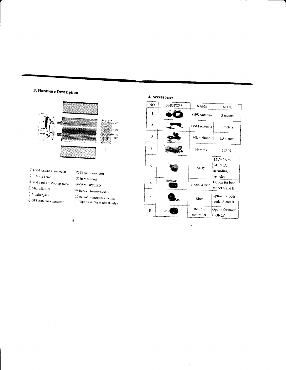## 3. Hardware Description



- $\widehat{\mathbb{L}}$ GSM Antenna connector  $\widehat{\mathcal{Z}}$  SIM card slot  $\widehat{\mathcal{Z}}$  SIM card slot Pop-up switch  $\widehat{\mathcal{A}}$ MicroSD slot  $\widehat{\mathbb{S}}$ Monitor jack **6** GPS Antenna connector
- $\oslash$  Shock sensor port  $\circledR$  Harness Port  $\circledcirc$  GSM/GPS LED  $\textcircled{\tiny{\textcircled{\tiny B}}}$  Backup battery switch <sup>1</sup> Remote controller antenna (Optional For model B only)

### 4. Accessories

| NO.                     | <b>PHOTOES</b> | <b>NAME</b>          | <b>NOTE</b>                                       |
|-------------------------|----------------|----------------------|---------------------------------------------------|
| 1                       |                | <b>GPS</b> Antenna   | 3 meters                                          |
| $\overline{\mathbf{c}}$ |                | <b>GSM</b> Antenna   | 3 meters                                          |
| 3                       |                | Microphone           | 1.5 meters                                        |
| 4                       |                | Harness              | 10PIN                                             |
| 5                       |                | Relay                | 12V/40A to<br>24V/40A<br>according to<br>vehicles |
| 6                       |                | Shock sensor         | Option for both<br>model A and B                  |
| 7                       |                | Siren                | Option for both<br>model A and B                  |
| 8                       |                | Remote<br>controller | Option for model<br><b>B ONLY</b>                 |

 $\ddot{6}$ 

 $\boldsymbol{7}$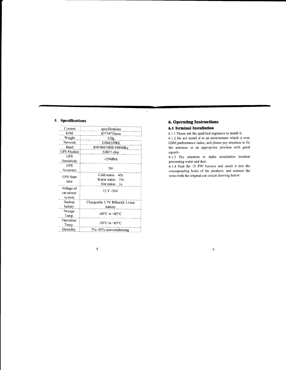### 5. Specifications

| specifications                       |  |  |
|--------------------------------------|--|--|
| 83*54*26mm                           |  |  |
| 120g                                 |  |  |
| <b>GSM/GPRS</b>                      |  |  |
| 850/900/1800/1900Mhz                 |  |  |
| SIRF3 chip                           |  |  |
| -159dBm                              |  |  |
|                                      |  |  |
| 5m                                   |  |  |
| Cold status<br>45s                   |  |  |
| Warm status<br>35s                   |  |  |
| Hot status<br>1s                     |  |  |
|                                      |  |  |
| 12 V-24V                             |  |  |
|                                      |  |  |
| Chargeable 3.7V 800mAh Li-ion        |  |  |
| battery                              |  |  |
|                                      |  |  |
| -40 $^{\circ}$ C to +85 $^{\circ}$ C |  |  |
|                                      |  |  |
| $-20^{\circ}$ C to $+65^{\circ}$ C   |  |  |
| 5%--95% non-condensing               |  |  |
|                                      |  |  |

 $\bf 8$ 

### **6. Operating Instructions**

### **6.1 Terminal Installation**

,

6.1.1 Please ask the qualified engineers to install it.

6.1.2 Do not install it in an environment which is over GSM performance index, and please pay attention to fix the antennas in an appropriate position with good signals.

6.1.3 Pay attention to make installation location preventing water and dust.

6.1.4 Find the 10 PIN harness and insert it into the corresponding holes of the products, and connect the wires with the original car circuit showing below:

 $\overline{9}$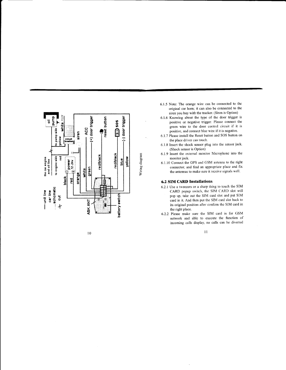

l0

- 6.1.5 Note: The orange wire can be connected to the original car horn; it can also be connected to the siren you buy with the tracker. (Siren is Option)
- 6.1.6 Knowing ab'out the type of the door trigger is positive or negative trigger. Please connect the green wire to the door control circuit if it is positive, and connect blue wire if it is negative.
- 6.1.7 Please install the Reset button and SOS button on the place driver can touch.
- 6.1.8 Insert the shock sensor plug into the sensor jack. (Shock sensor is Option)
- 6.1.9 lnsert the extemai monitor Microphone into the monitor jack.
- 6.1.10 Connect the GPS and GSM antenna to the right connector, and find an appropriate place and fix the antennas to make sure it receive signals well.

#### 6.2 SIM CARD Installations

- 6.2.1 Use a tweezers or a sharp thing to touch the SIM CARD popup switch, the SiM CARD slot will pop up, take out the SIM card slot and put SIM card in it. And then put the SIM card slot back to its original position after confirm the SIM card in the right place.
- 6.2.2 Please make sure the SIM card is for GSM network and able to execute the function of incoming calls display, no calls can be diverted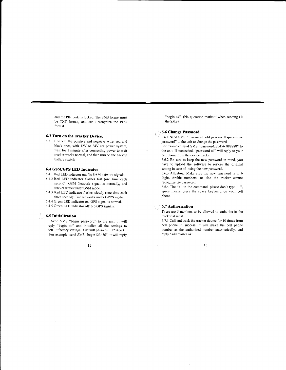and the PIN code is locked. The SMS format must be TXT format, and can't recognize the PDU format.

### 6.3 Turn on the Tracker Device.

a

6.J.1 Connect the positive and negative wire. red and black ones, with 12V or 24Y car power system, wait for 1 minute after connecting power to wait tracker works normal, and then turn on the backup battery switch.

### 6.4 GSWGPS LED Indicator

6.4.1 Red LED indicator on: No GSM network signals.

- 6.4.2 Red LED indicator flashes fast (one time each second): GSM Network signal is normally, and tracker works under GSM mode.
- 6.4.3 Red LED indicator flashes slowly (one time each three second): Tracker works under GPRS mode.
- 6.4.4 Green LED indicator on: GPS signal is normal.
- 6.4.5 Green LED indicator off: No GPS signals.

### $\left\lvert \rule{0pt}{10pt}\right\rvert$  6.5 Initialization

Send SMS "begin+password" to the unit, it will reply "begin ok" and initialize all the settings to default factory settings. (default password: 123456) For example: send SMS "begin123456", it will reply

12

"begin ok". (No quotation marks"" when sending all the SMS)

### l, ;,,'6.6 Change Password

- 6.6.1 Send SMS " password+old password+space+new password" to the unit to change the password.
- For example: send SMS "password123456 888888" to the unit. If succeeded, "password ok" will reply to your cell phone from the device tracker.
- 6.6.2 Be sure to keep the new password in mind, you have to upload the software to restore the original setting in case of losing the new password.
- 6.6.3 Attention: Make sure the new password is in 6 digits Arabic numbers, or else the tracker cannot recognize the password.
- 6.6.4 The "+" in the command, please don't type "+", space means press the space keyboard on your cell phone.

### 6.7 Authorization

There are 5 numbers to be allowed to authorize in the tracker at most.

6.7.1 Call and track the tracker device for 10 times from cell phone in success, it will make the cell phone number as the authorized number automatically, and reply "add master ok".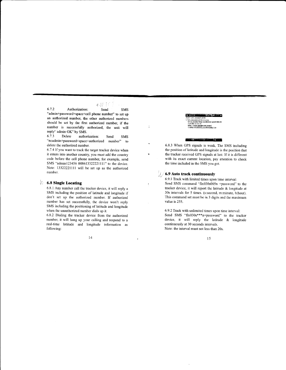6.7.2 Authorization: Send SMS "admin+password+space+cell phone number" to set up an authorized number, the other authorized numbers should be set by the first authorized number, if the number is successfully authorized, the unit will reply" admin OK" by SMS.<br>6.7.3 Delete author

 $+3F10$ 

ċ

authorization: Send SMS "noadmin+password+space+authorized number" to delete the authorized number.

6.7.4 If you want to track the target tracker device when it enters into another country, you must add the country code before the cell phone number, for example, send SMS "adminl23456 008613322221111" to the device. Note: 13322221111 will be set up as the authorized number.

### $\%$  6.8 Single Locating

6.8.1 Any number call the tracker device, it will reply <sup>a</sup> SMS including the position of latitude and longitude if don't set up the authorized number. If authorized number has set successfully, the device won't reply SMS including the positioning of latitude and longitude when the unauthorized number dials up it.

6.8.2 Dialing the tracker device from the authorized number, it will hang up your calling and respond to <sup>a</sup> real-time latitude and longitude information as following:

14

#### **Eryrchion and Control of the Control** il61:aL ttaqEFqitu i.irt!]l@Sllllrt kat:<u>22.553341</u> long:113.983418 speed: nto:<br>.aps.google.com/maps?<br>?2.553341,113.9094188.z=16

#### $\mathcal{L}(\mathcal{C})$

6.8.3 When GPS signals is weak, The SMS including the position of latitude and longitude is the position that the tracker received GPS signals at last. If it is different with its exact current location, pay attention to check the time included in the SMS you got.

### $\mathcal{G}/$  6.9 Auto track continuously

6.9.1 Track with limited times upon time interval: Send SMS command "fix030s005n \*password" to the tracker device, it will report the latirude & longitude at 30s intervals for 5 times. (s:second. m:minute, h:hour). This command set must be in 3 digits and the maximum value is 255.

6.9.2 Track with unlimited times upon time interval: Send SMS "fix030s\*\*\*n+password" to the tracker device, it will reply the latitude & longitude continuously at 30 seconds intervals. Note: the interval must not less than 20s.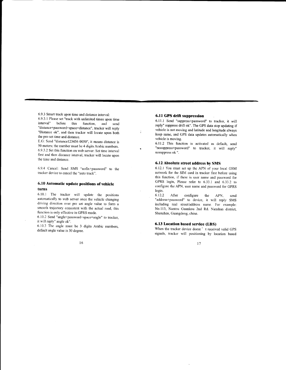6.9.3 Smart track upon time and distance interval: 6.9.3.1 Please set "track with unlimited times upon time interval" before this function, and send "distance+password+space+distance", tracker will reply "Distance ok", and then tracker will locate upon both the pre-set time and distance.

E.G: Send "distance123456 0050", it means distance is 50 meters; the number must be 4 digits Arabic numbers. 6.9.3.2 Set this function on web server: Set time interval first and then distance interval, tracker will locate upon the time and distance.

6.9.4 Cancel: Send SMS "nofix\*password', to the tracker device to cancel the "auto track".

### 6.10 Automatic update positions of vehicle furns

6.10.1 The tracker will update the positions automatically to web sewer once the vehicle changing driving direction over pre set angle value to form <sup>a</sup> smooth trajectory consistent with the actual road, this function is only effective in GPRS mode.

6.10.2 Send "angle+password+space+angle" to tracker, it will reply" angle ok".

6.10.3 The angle must be 3 digits Arabic numbers, default angle value is 30 degree.

### 6.ll GPS drift suppression

 $\ddot{\cdot}$ 

6.11.1 Send "suppress+password" to tracker, it will reply" suppress drift ok". The GPS data stop updating if vehicle is not moving and latitude and longitude always keep same, and GPS data updates automatically when vehicle is moving.

6.11.2 This function is activated as default, send "nosuppress+password" to tracker, it will reply" nosuppress ok ".

### 6.12 Absolute street address by SMS

6.12.1 You must set up the APN of your local GSM network for the SIM card in tracker first before using this function, if there is user name and password for GPRS login, Please refer to 6.33.1 and 6.33.2 to configure the APN, user name and password for GPRS login.

6.12.2 After configure the APN, send "address\*password" to device, it will reply SMS including real street/address name. For example: No.1l3, Nantou Guankou 2nd Rd. Nanshan district. Shenzhen, Guangdong, china.

### 6.13 Location based service (LBS)

When the tracker device doesn' t received valid GPS signals, tracker will positioning by location based

 $\frac{16}{7}$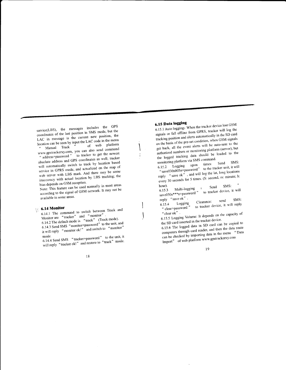service(LBS), the messages includes the GPS coordinates of the last position in SMS mode, but the LAC in message is the current new position, the location can be seen by input the LAC code in the menu of web platform Manual Track www.gpstrackerxy.com, you can also send command to tracker to get the newest " address+password " absolute address and GPS coordinates as well; tracker will automatically switch to track by location based service in GPRS mode, and actualized on the map of web server with LBS mark. And there may be some inaccuracy with actual location by LBS tracking; the bias depends on GSM reception.

Note: This feature can be used normally in most areas according to the signal of GSM network. It may not be available in some areas.

### $\sqrt{6.14}$  Monitor

6.14.1 The command to switch between Track and Monitor are "tracker" and "monitor". 6.14.2 The default mode is "track" (Track mode). 6.14.3 Send SMS "monitor+password" to the unit, and it will reply "monitor ok!" and switch to "monitor"

6.14.4 Send SMS "tracker+password" to the unit, it will reply "tracker ok!" and restore to "track" mode.

### 6.15 Data logging

6.15.1 Auto logging: When the tracker device lost GSM signals or fall offline from GPRS, tracker will log the tracking position and alerts automatically in the SD card on the basis of the pre-set condition, when GSM signals get back, all the event alerts will be auto-sent to the authorized numbers or monitoring platform (server), but the logged tracking data should be loaded to the

monitoring platform via SMS command. SMS: Logging upon times: Send "save030s005n+password" to the tracker unit, it will  $6.15.2$ reply "save ok", and will log the lat, long locations every 30 seconds for 5 times. (S. second, m. minute, h.  $,$ 

6.15.3 Multi-logging : Send SMS: "<br>save030s\*\*\*n+password " to tracker device, it will hour).

reply "save ok". SMS: send Clearance: to tracker device, it will reply  $6.15.4$ Logging " clear+password '

6.15.5 Logging Volume: It depends on the capacity of

the SD card inserted in the tracker device. 6.15.6 The logged data in SD card can be copied to computers through card reader, and then the data route can be checked by importing data in the menu "Data Import" of web platform www.gpstrackerxy.com

19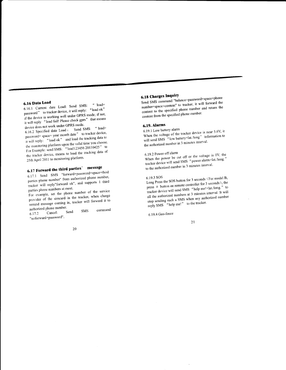### 6.16 Data Load

6.16.1 Current date Load: Send SMS:  $4$  load+ password" to tracker device, it will reply: "load ok" if the device is working well under GPRS mode; if not, it will reply "load fail! Please check gprs" that means device does not work under GPRS mode.

6.16.2 Specified date Load: Send SMS: "load+ password+ space+ year month date" to tracker device, it will reply: "load ok" and load the tracking data to the monitoring platform upon the valid time you choose. For Example: send SMS: "load123456 20110425" to the tracker device, means to load the tracking data of 25th April 2011 to monitoring platform.

## 6.17 Forward the third parties' message

6.17.1 Send SMS "forward+password+space+third parties phone number" from authorized phone number, tracker will reply"forward ok", and supports 1 third parties phone numbers at most.

For example, set the phone number of the service provider of the simeard in the tracker, when charge remind message coming in, tracker will forward it to authorized phone number.

command SMS  $Cancel:$ Send  $6.17.2$ "noforward+password".

### 20

### **6.18 Charges Inquiry**

Send SMS command "balance+password+space+phone number+space+content" to tracker, it will forward the content to the specified phone number and return the content from the specified phone number.

### 6.19. Alarms

6.19.1 Low battery alarm When the voltage of the tracker device is near 3.6V, it will send SMS "low battery+lat./long" information to the authorized number in 3 minutes interval.

### 6.19.2 Power off alarm

When the power be cut off or the voltage is 0V, the tracker device will send SMS "power alarm+lat./long." to the authorized number in 3 minutes interval.

Long Press the SOS button for 3 seconds (For model B, press  $\circledast$  button on remote controller for 3 seconds), the tracker device will send SMS "help me!+lat./long." to all the authorized numbers at 3 minutes interval. It will stop sending such a SMS when any authorized number reply SMS "help me!" to the tracker.

6.19.4 Geo-fence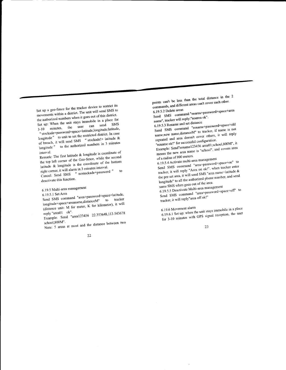Set up a geo-fence for the tracker device to restrict its movements within a district. The unit will send SMS to the authorized numbers when it goes out of this district. Set up: When the unit stays immobile in a place for 3-10 minutes, the user can send SMS "stockade+password+space+latitude,longitude;latitude, longitude" to unit to set the restricted district. In case of breach, it will send SMS "stockade!+ latitude & to the authorized numbers in 3 minutes longitude"

Remark: The first latitude & longitude is coordinate of the top left corner of the Geo-fence, while the second latitude & longitude is the coordinate of the bottom right corner, it will alarm in 3 minutes interval.

Cancel: Send SMS " nostockade+password " to deactivate this function.

6.19.5 Multi-area management

Send SMS command "area+password+space+latitude, longitude+space+areaname,distanceM" to tracker (distance unit: M for meter, K for kilometer), it will

reply "area01 ok". Example: Send "area123456 22.353648,113.543678

Note: 5 areas at most and the distance between two

points can't be less than the total distance in the 2 commands, and different areas can't cover each other.

6,19.5.2 Delete areas Send SMS command:"noarea+password+space+area name", tracker will reply:"noarea ok".

6.19.5.3 Rename and set distance Send SMS command "rename+password+space+old name;new name,distanceM" to tracker, if name is not repeated and area doesn't cover others, it will reply "rename ok!" for successful configuration.

Example: Send"rename123456 area01;school,800M", it means the new area name is "school", and covers area

of a radius of 800 meters.

6.19.5.4 Activate multi-area management Send SMS command "area+password+space+on" to tracker, it will reply "Area on ok!", when tracker enter the pre set area, it will send SMS "area name+latitude & longitude" to all the authorized phone number, and send same SMS when goes out of the area.

6.19.5.5 Deactivate Multi-area management Send SMS command "area+password+space+off" to tracker, it will reply"area off ok!"

6.19.6 Movement alarm 6.19.6.1 Set up: when the unit stays immobile in a place for 3-10 minutes with GPS signal reception, the user

#### $23$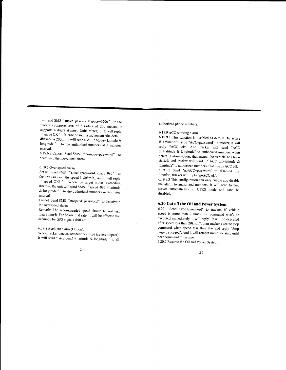can send SMS "move+password+space+0200" to the tracker (Suppose area of a radius of 200 meters, it supports 4 digits at most. Unit: Meter). It will reply "move OK". In case of such a movement (the default distance is 200m), it will send SMS "Move+ latitude  $&$ longitude " to the authorized numbers at 3 minutes interval.

6.19.6.2 Cancel: Send SMS "nomove+password" to deactivate the movement alarm.

#### 6.19.7 Over speed alarm

Set up: Send SMS "speed+password+space+080" to<br>the unit (suppose the speed is 80km/h), and it will reply " speed  $\overline{\text{OK}}$ ! " . When the target moves exceeding 80km/h, the unit will send SMS  $\frac{a}{\sqrt{3}}$  speed+080!+ latitude & longitude " to the authorized numbers in 3minutes inrerval.

Cancel: Send SMS "nospeed+password" to deactivate the overspeed alarm.

Remark: The recommended speed should be not less than 30km/h. For below that rate, it will be effected the accuracy by GPS signals drift etc.

6. I9.8 Accidenr alarm (Option):

When tracker detects accident occurred (severe impact), it will send " Accident!  $+$  latitude & longitude " to all

24

authorized phone numbers.

6.19.9 ACC working alarm

6.19.9.1 This function is disabled as default. To active this functions, send "ACC+password" to tracker, it will reply "ACC ok". And tracker will send "ACC on+latitude & longitude" to authorized numbers when detect ignition action, that means the vehicle has been started; and tracker will send " ACC off+latitude & longitude" to authorized numbers, that means ACC off. 6.19.9.2 Send "noACC+password" to disabled this function, tracker will reply "noACC ok".

6.19.9.3 This configuration can only enable and disable the alarm to authorized numbers; it will send to web server automatically in GpRS mode and can't be disabled.

### 6.20 Cut off the Oil and Power System

6.20.1 Send "stop+password" to tracker, if vehicle speed is more than 20km/h, the command won't be executed immediately, it will reply" It will be executed after speed less than 20km/h", then tracker execute stop command when speed less than that and reply "Stop engine succeed". And it will remain immobile state until next command to resume.

6.20.2 Resume the Oil and Power Svstem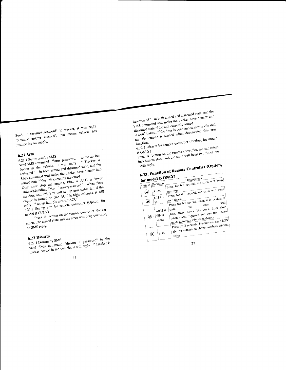" resume+password" to tracker, it will reply "Resume engine succeed", that means vehicle has resume the oil supply.

 $6.21$  Arm

0.21.1 Set up arm by Sixto the tracker<br>Send SMS command "arm+password" to the tracker device in the vehicle. It will reply activated" in both armed and disarmed state, and the activated" in both armed and disarmed state, activities in our manus and distance states and the SMS command will make the tracker device enter into

armed state if the unit currently disarmed. User must stop the engine, (that is ACC is lower votage).Sending SMS "arm+password" when close the door and left. You will set up arm status fail if the the work and less seems see up and states faith is and

reply "set up fail! pls turn off ACC" 6.21.2 Set up arm by remote controller (Option, for

Press  $\circledast$  button on the remote controller, the car model B ONLY) enters into armed state and the siren will beep one time,

no SMS reply.

## 6.22 Disarm

 $0.22.1$   $\nu$  is all to  $y$   $\sigma$ <sup>xx15</sup><br>Send SMS command "disarm + password" to the 6.22.1 Disarm by SMS tracker device in the vehicle, It will reply "Tracker is tracker device in the vehicle, It will reply

26

deactivated" in both armed and disarmed state, and the wave a work which we would have the tracker device enter into disarmed state if the unit currently armed. ursurince state is the university theory and sensor is vibrated It won't alarm if the door is open and sensor is vibrated and the engine is started when deactivated this arm

6.22.2 Disarm by remote controller (Option, for model)

Press  $\overset{\sim}{\bullet}$  button on the remote controller, the car enters into disarm state, and the siren will beep two times, no  $B$  ONLY)

SMS reply.

| into women<br>SMS reply. |              |                           |                                                                                                                                                                    |
|--------------------------|--------------|---------------------------|--------------------------------------------------------------------------------------------------------------------------------------------------------------------|
|                          |              |                           | 6.23. Function of Remote Controller (Option,                                                                                                                       |
|                          |              | for model B ONLY)         | Descriptions                                                                                                                                                       |
| Button                   |              | Function                  | Press for 0.5 second, the siren will beep                                                                                                                          |
| Θ.                       |              | ARM<br>DISAR              | Press for 0.5 second, the siren will beep<br>one time.                                                                                                             |
| ல                        |              | M                         | Press for 0.5 second when it is in disarm<br>two times.<br>will                                                                                                    |
|                          | $^\circledR$ | ARM $&$<br>Silent<br>mode | beep three times. No voice from siren<br>when alarm triggered and quit from siren<br>mode automatically when disarm.<br>Press for 3 seconds, Tracker will send SOS |
|                          | ۳            | SOS                       | alert to authorized phone numbers without<br>voice.                                                                                                                |

 $27\,$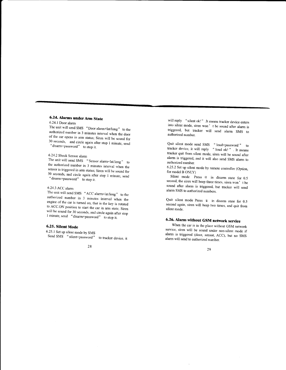### 6.24. Alanns under Arm State

6.24.1 Door alarm authorized number in 3 minutes interval when the door<br>of the car opens in arm status; Siren will be sound for<br>30 seconds, and circle again after stop 1 minute, send<br>"disarm+password" to stop it.

6.24.2 Shock Sensor alarm the authorized number in 3 minutes interval when the sensor is triggered in arm status; Siren will be sound for  $30$  seconds, and circle again after stop 1 minute, send " $d$ isarm+password" to stop it.

### 6.24.3 ACC alarm

The unit will send SMS "ACC alarm+lat/long" to the<br>authorized number in 3 minutes interval when the engine of the car is turned on, that is the key is rotated to ACC.ON position to start the car in arm state; Siren will be sound for 30 seconds, and circle again after stop I minute, send "disarm+password" to stop it.

### 6.25. Silent Mode

6.25.I Ser up silenr mode by SMS Send SMS "silent+password" to tracker device, it

28

will reply "silent ok!" .It means tracker device enters into silent mode, siren won't be sound after alarm is triggered, but tracker will send alarm SMS to authorized number.

Quit silent mode send SMS "loud+password" to tracker device, it will reply  $\frac{1}{2}$  loud ok!  $\frac{1}{2}$ . It means tracker quit from silent mode, siren will be sound after alarm is triggered, and it will also send SMS alarm to authorized number.

6.25.2 Set up silent mode by remote controller (Option, for model B ONLy)

Silent mode press @ in disarm state for 0.5 second, the siren will beep three times, siren won't be sound after alarm is triggered, but tracker will send alarm SMS to authorized numbers.

Quit silent mode Press  $\hat{ }$  in disarm state for 0.5 second again, siren will beep two times, and quit from silent mode.

### 6.26. Alarm without GSM network service

When the car is in the place without GSM network service, siren will be sound under non-silent mode if alarm is triggered (door, sensor, ACC), but no SMS alarm witl send to authorized number.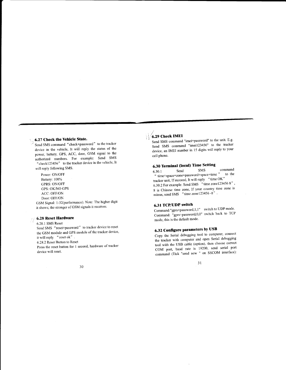### 6.27 Check the Yehicle State.

Send SMS command "check\*password" to the tracker device in the vehicle, It will reply the status of the power, battery, GPS, ACC, door, GSM signal to the authorized numbers. For example: Send SMS " check 1 23456" to the tracker device in the vehicle, It wili reply following SMS.

Power: ON/OFF Battery: 100% GPRS: ON/OFF GPS: OK/NO GPS ACC: OFF/ON Door: OFF/ON

GSM Signal: 1-32(performance). Note: The higher digit it shows; the stronger of GSM signals it receives.

## $\sqrt{6.28}$  Reset Hardware

6.28.1 SMS Reset Send SMS "reset\*password" to tracker device to reset the GSM module and GPS module of the tracker device it will reply "reset ok". 6.28.2 Reset Button to Reset Press the reset button for 1 second, hardware of tracker device will reset.

### $\sqrt{6.29}$  Check IMEI

Send SMS command "imei+password" to the unit. E.g. Send SMS command "imei123456" to the tracker device, an IMEI number in 15 digits will reply to your cell phone.

## **6.30 Terminal (local) Time Setting**<br> $6.301$  Send SMS

6.30.1 Send SMS command " time+space+zone+password+space+time ... to the tracker unit, If succeed, It will reply " time OK" 6.30.2 For example: Send SMS "time zone123456 8", 8 is Chinese time zone. lf your country time zone is minus, send SMS "time zone $123456 - 8$ ".

### 6.31 TCP/UDP switch

Command:"gprs+password, 1, 1" switch to UDP mode. Command: EPro-password,0,0" switch back to TCP mode, this is the default mode.

### 6.32 Configure parameters by USB

Copy the Serial debugging tool to computer, connect the tracker with computer and open Serial debugging tool with the USB cable (option), then choose correct COM port, baud rate is 19200, send serial port  $\text{command (Tick "send new " on SSCOM interface)}$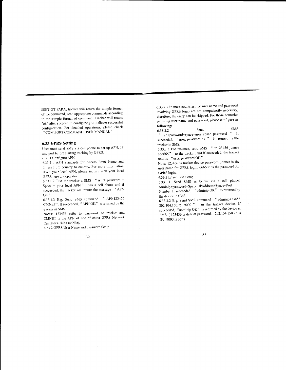SSET GT PARA, tracker will return the sample format of the command, send appropriate commands according to the sample format of command. Tracker will retum "ok" after succeed in configuring to indicate successful configuration. For detailed operations, please check "COM PORT COMMAND USER MANUAL"

#### 6.33 GPRS Setting

User must send SMS via cell phone to set up APN, IP and port before starting tracking by GPRS.

6.33.1 Configure APN

6.33.1.1 APN standards for Access Point Name and differs from country to country. For more information aboul your local APN, please inquire with your local GPRS network operator.

6.33.1.2 Text the tracker a SMS " APN+password + Space + your local APN " via a cell phone and if succeeded, the tracker will return the message " APN oK".

6.33.1.3 E.g. Send SMS command " APN123456 CMNET". lf succeeded, "APN OK" is retumed by the tracker in SMS.

Notes: 123456 refer to password of tracker and CMNET is the APN of one of china GPRS Network Operator (China mobile).

6.33.2 GPRS User Name and password Setup

32

6.33.2.1 In most countries, the user name and password involving GPRS login are not compulsorily necessary therefore, the entry can be skipped. For those countries requiring user name and password, please configure as following:<br> $6.33.2.2$ 

Send SMS<br>
"
up+password+space+user+space+password " If<br>
"
up+password+space+user+space+password " -If succeeded, "user, password ok!" is returned by the tracker in SMS.

6.33.2.3 For instance, send SMS " up123456 jonnes 666666" to the tracker, and if succeeded, the tracker returns " user, password OK"

Note: 123456 is tracker device password, jonnes is the user name for GPRS login, 666666 is the password for GPRS 1ogin.

6.33.3 IP and Port Setup

6.33.3.1. Send SMS as below via a cell phone: adminip+password+Space+IPAddress+Space+Port

Number. If succeeded, " adminip OK " is retumed by the device in SMS.

6.33.3.2 E.g. Send SMS command " adminip123456 202.104.150.75 9000 " to the tracker device, If succeeded, "adminip OK" is returned by the device in SMS. (123456 is default password, 202.104.150.75 is IP,  $9000$  is port).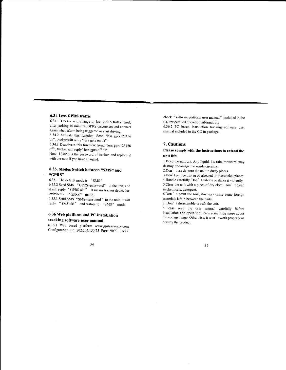### 6.34 Less GPRS trafric

a

6.34.1 Tracker will change to less GpRS traffic mode after parking l0 minutes, GpRS disconnect and connect again when alarm being triggered or start driving. 6.34.2 Activate this function: Send "less gprsl23456

on", tracker will reply "less gprs on ok".

6.34.3 Deactivate this function: Send "less gprs123456 off", tracker will reply" less gprs off ok".

Note: 123456 is the password of tracker, and replace it with the new if you have changed.

### 6.35. Modes Switch between "SMS" and 6GPRS'

6.35.1 The default mode is  $"SMS"$ 

6.35.2 Send SMS "GPRS+password" to the unit, and it will reply "GPRS ok!" it means tracker device has switched to "GPRS" mode.

6.35.3 Send SMS "SMS+password" to the unit, it will reply "SMS ok!" and restore to "SMS" mode.

### 6.36 Web platform and pC installation tracking software user manual

6.36.1 Web based platform www.gpstrackerxy.com. Configuration IP: 202.104.150.75 Port: 9000. Please

check " software platform user manual " included in the CD for detailed operation information.

6.36.2 PC based installation tracking software user manual included in the CD in package.

### 7. Cautions

### Please comply with the instructions to extend the unit life:

1.Keep the unit dry. Any liquid, i.e. rain, moisture, may destroy or damage the inside circuirry.

2.Don' t use & store the unit in dusty places.

3.Don't put the unit in overheated or overcooled places.

4.Handle carefully. Don' t vibrate or shake it violently.

5.Clear the unit with a piece of dry cloth. Don' t clean in chemicals, detergent.

6.Don' t paint the unit, this may cause some foreign materials left in between the parts.

7. Don' t disassemble or refit the unir.

8.Please read the user manual carefully before installation and operation. leam something more about the voltage range. Otherwise, it won't work properly or destroy the product.